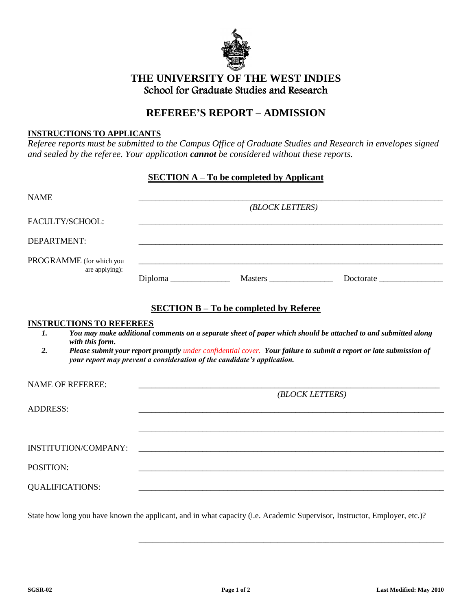

## **THE UNIVERSITY OF THE WEST INDIES** School for Graduate Studies and Research

## **REFEREE'S REPORT – ADMISSION**

## **INSTRUCTIONS TO APPLICANTS**

*Referee reports must be submitted to the Campus Office of Graduate Studies and Research in envelopes signed and sealed by the referee. Your application cannot be considered without these reports.*

## **SECTION A – To be completed by Applicant**

| <b>NAME</b>                     | (BLOCK LETTERS)                                                                                                       |                                                                                                                           |
|---------------------------------|-----------------------------------------------------------------------------------------------------------------------|---------------------------------------------------------------------------------------------------------------------------|
| FACULTY/SCHOOL:                 |                                                                                                                       | ,我们也不会有什么。""我们的人,我们也不会有什么?""我们的人,我们也不会有什么?""我们的人,我们也不会有什么?""我们的人,我们也不会有什么?""我们的人                                          |
| DEPARTMENT:                     |                                                                                                                       |                                                                                                                           |
| PROGRAMME (for which you        |                                                                                                                       | ,我们也不会有什么。""我们的人,我们也不会有什么?""我们的人,我们也不会有什么?""我们的人,我们也不会有什么?""我们的人,我们也不会有什么?""我们的人                                          |
| are applying):                  |                                                                                                                       |                                                                                                                           |
|                                 |                                                                                                                       |                                                                                                                           |
|                                 | <b>SECTION B - To be completed by Referee</b>                                                                         |                                                                                                                           |
| <b>INSTRUCTIONS TO REFEREES</b> |                                                                                                                       |                                                                                                                           |
| $\mathbf{I}$ .                  |                                                                                                                       | You may make additional comments on a separate sheet of paper which should be attached to and submitted along             |
| with this form.<br>2.           |                                                                                                                       | Please submit your report promptly under confidential cover. Your failure to submit a report or late submission of        |
|                                 | your report may prevent a consideration of the candidate's application.                                               |                                                                                                                           |
|                                 |                                                                                                                       |                                                                                                                           |
| <b>NAME OF REFEREE:</b>         |                                                                                                                       |                                                                                                                           |
|                                 |                                                                                                                       | (BLOCK LETTERS)                                                                                                           |
| <b>ADDRESS:</b>                 |                                                                                                                       |                                                                                                                           |
|                                 |                                                                                                                       |                                                                                                                           |
|                                 |                                                                                                                       |                                                                                                                           |
|                                 |                                                                                                                       |                                                                                                                           |
| <b>INSTITUTION/COMPANY:</b>     | <u> 1990 - Jan James James Sandarík (f. 1980)</u>                                                                     |                                                                                                                           |
| POSITION:                       |                                                                                                                       | <u> 1989 - Johann Harry Barn, mars ar breithinn ar breithinn ar breithinn ar breithinn an dùthchan an dùthchan an </u>    |
| <b>QUALIFICATIONS:</b>          | <u> 1989 - Johann Harry Harry Harry Harry Harry Harry Harry Harry Harry Harry Harry Harry Harry Harry Harry Harry</u> |                                                                                                                           |
|                                 |                                                                                                                       |                                                                                                                           |
|                                 |                                                                                                                       | State how long you have known the applicant, and in what capacity (i.e. Academic Supervisor, Instructor, Employer, etc.)? |

\_\_\_\_\_\_\_\_\_\_\_\_\_\_\_\_\_\_\_\_\_\_\_\_\_\_\_\_\_\_\_\_\_\_\_\_\_\_\_\_\_\_\_\_\_\_\_\_\_\_\_\_\_\_\_\_\_\_\_\_\_\_\_\_\_\_\_\_\_\_\_\_\_\_\_\_\_\_\_\_\_\_\_\_\_\_\_\_